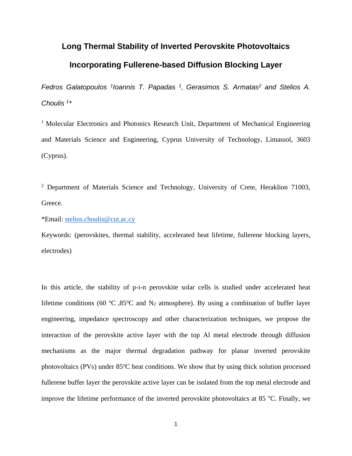### **Long Thermal Stability of Inverted Perovskite Photovoltaics Incorporating Fullerene-based Diffusion Blocking Layer**

*Fedros Galatopoulos <sup>1</sup> Ioannis T. Papadas <sup>1</sup> , Gerasimos S. Armatas<sup>2</sup> and Stelios A. Choulis <sup>1</sup> \**

<sup>1</sup> Molecular Electronics and Photonics Research Unit, Department of Mechanical Engineering and Materials Science and Engineering, Cyprus University of Technology, Limassol, 3603 (Cyprus).

<sup>2</sup> Department of Materials Science and Technology, University of Crete, Heraklion 71003, Greece.

\*Email: [stelios.choulis@cut.ac.cy](mailto:stelios.choulis@cut.ac.cy)

Keywords: (perovskites, thermal stability, accelerated heat lifetime, fullerene blocking layers, electrodes)

In this article, the stability of p-i-n perovskite solar cells is studied under accelerated heat lifetime conditions (60 °C,85°C and N<sub>2</sub> atmosphere). By using a combination of buffer layer engineering, impedance spectroscopy and other characterization techniques, we propose the interaction of the perovskite active layer with the top Al metal electrode through diffusion mechanisms as the major thermal degradation pathway for planar inverted perovskite photovoltaics (PVs) under  $85^{\circ}$ C heat conditions. We show that by using thick solution processed fullerene buffer layer the perovskite active layer can be isolated from the top metal electrode and improve the lifetime performance of the inverted perovskite photovoltaics at 85  $^{\circ}$ C. Finally, we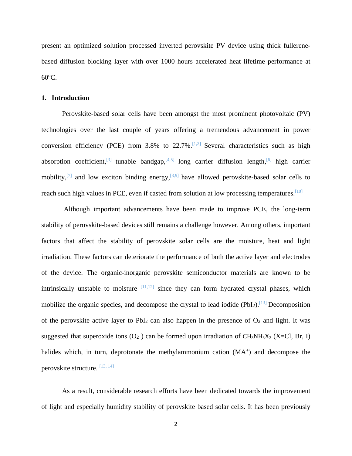present an optimized solution processed inverted perovskite PV device using thick fullerenebased diffusion blocking layer with over 1000 hours accelerated heat lifetime performance at  $60^{\circ}$ C.

#### **1. Introduction**

Perovskite-based solar cells have been amongst the most prominent photovoltaic (PV) technologies over the last couple of years offering a tremendous advancement in power conversion efficiency (PCE) from  $3.8\%$  to  $22.7\%$ . <sup>[1,2]</sup> Several characteristics such as high absorption coefficient,  $\left[3\right]$  tunable bandgap,  $\left[4,5\right]$  long carrier diffusion length,  $\left[6\right]$  high carrier mobility,  $\left[7\right]$  and low exciton binding energy,  $\left[8,9\right]$  have allowed perovskite-based solar cells to reach such high values in PCE, even if casted from solution at low processing temperatures.<sup>[10]</sup>

Although important advancements have been made to improve PCE, the long-term stability of perovskite-based devices still remains a challenge however. Among others, important factors that affect the stability of perovskite solar cells are the moisture, heat and light irradiation. These factors can deteriorate the performance of both the active layer and electrodes of the device. The organic-inorganic perovskite semiconductor materials are known to be intrinsically unstable to moisture  $[11,12]$  since they can form hydrated crystal phases, which mobilize the organic species, and decompose the crystal to lead iodide (PbI<sub>2</sub>).<sup>[13]</sup> Decomposition of the perovskite active layer to PbI<sub>2</sub> can also happen in the presence of  $O_2$  and light. It was suggested that superoxide ions  $(O_2^-)$  can be formed upon irradiation of CH<sub>3</sub>NH<sub>3</sub>X<sub>3</sub> (X=Cl, Br, I) halides which, in turn, deprotonate the methylammonium cation (MA<sup>+</sup>) and decompose the perovskite structure. [13, 14]

As a result, considerable research efforts have been dedicated towards the improvement of light and especially humidity stability of perovskite based solar cells. It has been previously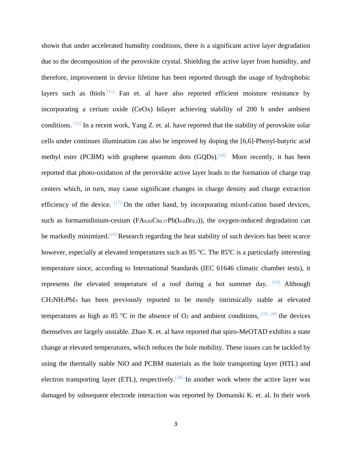shown that under accelerated humidity conditions, there is a significant active layer degradation due to the decomposition of the perovskite crystal. Shielding the active layer from humidity, and therefore, improvement in device lifetime has been reported through the usage of hydrophobic layers such as thiols.<sup>[11]</sup> Fan et. al have also reported efficient moisture resistance by incorporating a cerium oxide (CeOx) bilayer achieving stability of 200 h under ambient conditions. [15] In a recent work, Yang Z. et. al. have reported that the stability of perovskite solar cells under continues illumination can also be improved by doping the [6,6]-Phenyl-butyric acid methyl ester (PCBM) with graphene quantum dots  $(GQDs)$ .<sup>[16]</sup> More recently, it has been reported that photo-oxidation of the perovskite active layer leads to the formation of charge trap centers which, in turn, may cause significant changes in charge density and charge extraction efficiency of the device.  $[17]$  On the other hand, by incorporating mixed-cation based devices, such as formamidinium-cesium  $(FA<sub>0.83</sub>Cs<sub>0.17</sub>Pb(I<sub>0.8</sub>Br<sub>0.2</sub>))$ , the oxygen-induced degradation can be markedly minimized.<sup>[18]</sup> Research regarding the heat stability of such devices has been scarce however, especially at elevated temperatures such as  $85 \degree C$ . The  $85 \degree C$  is a particularly interesting temperature since, according to International Standards (IEC 61646 climatic chamber tests), it represents the elevated temperature of a roof during a hot summer day.  $[19]$  Although CH3NH3PbI3 has been previously reported to be mostly intrinsically stable at elevated temperatures as high as 85 °C in the absence of  $O_2$  and ambient conditions,  $[19, 20]$  the devices themselves are largely unstable. Zhao X. et. al have reported that spiro-MeOTAD exhibits a state change at elevated temperatures, which reduces the hole mobility. These issues can be tackled by using the thermally stable NiO and PCBM materials as the hole transporting layer (HTL) and electron transporting layer (ETL), respectively.<sup>[20]</sup> In another work where the active layer was damaged by subsequent electrode interaction was reported by Domanski K. et. al. In their work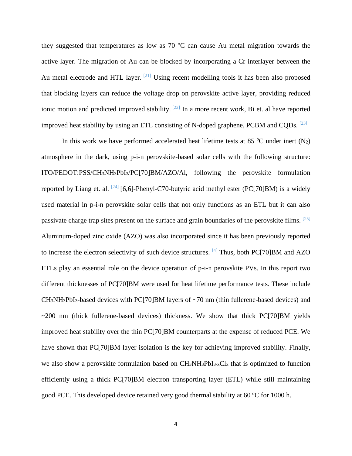they suggested that temperatures as low as  $70\text{ °C}$  can cause Au metal migration towards the active layer. The migration of Au can be blocked by incorporating a Cr interlayer between the Au metal electrode and HTL layer.  $[21]$  Using recent modelling tools it has been also proposed that blocking layers can reduce the voltage drop on perovskite active layer, providing reduced ionic motion and predicted improved stability.  $[22]$  In a more recent work, Bi et. al have reported improved heat stability by using an ETL consisting of N-doped graphene, PCBM and CQDs.  $^{[23]}$ 

In this work we have performed accelerated heat lifetime tests at 85  $^{\circ}$ C under inert (N<sub>2</sub>) atmosphere in the dark, using p-i-n perovskite-based solar cells with the following structure: ITO/PEDOT:PSS/CH3NH3PbI3/PC[70]BM/AZO/Al, following the perovskite formulation reported by Liang et. al.  $^{[24]}$  [6,6]-Phenyl-C70-butyric acid methyl ester (PC[70]BM) is a widely used material in p-i-n perovskite solar cells that not only functions as an ETL but it can also passivate charge trap sites present on the surface and grain boundaries of the perovskite films. [25] Aluminum-doped zinc oxide (AZO) was also incorporated since it has been previously reported to increase the electron selectivity of such device structures. <sup>[4]</sup> Thus, both PC[70]BM and AZO ETLs play an essential role on the device operation of p-i-n perovskite PVs. In this report two different thicknesses of PC[70]BM were used for heat lifetime performance tests. These include  $CH_3NH_3PbI_3$ -based devices with PC[70]BM layers of  $\sim$ 70 nm (thin fullerene-based devices) and  $\sim$ 200 nm (thick fullerene-based devices) thickness. We show that thick PC[70]BM yields improved heat stability over the thin PC[70]BM counterparts at the expense of reduced PCE. We have shown that PC[70]BM layer isolation is the key for achieving improved stability. Finally, we also show a perovskite formulation based on CH3NH3PbI3-xCl<sup>x</sup> that is optimized to function efficiently using a thick PC[70]BM electron transporting layer (ETL) while still maintaining good PCE. This developed device retained very good thermal stability at  $60^{\circ}$ C for 1000 h.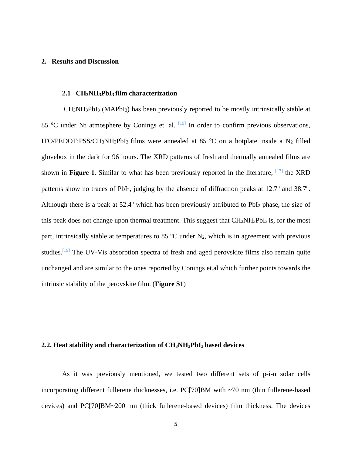#### **2. Results and Discussion**

#### **2.1 CH3NH3PbI3 film characterization**

CH3NH3PbI<sup>3</sup> (MAPbI3) has been previously reported to be mostly intrinsically stable at 85 °C under N<sub>2</sub> atmosphere by Conings et. al.  $[19]$  In order to confirm previous observations, ITO/PEDOT:PSS/CH<sub>3</sub>NH<sub>3</sub>PbI<sub>3</sub> films were annealed at 85 °C on a hotplate inside a N<sub>2</sub> filled glovebox in the dark for 96 hours. The XRD patterns of fresh and thermally annealed films are shown in **Figure 1**. Similar to what has been previously reported in the literature,  $[17]$  the XRD patterns show no traces of PbI<sub>2</sub>, judging by the absence of diffraction peaks at  $12.7^\circ$  and  $38.7^\circ$ . Although there is a peak at  $52.4^{\circ}$  which has been previously attributed to PbI<sub>2</sub> phase, the size of this peak does not change upon thermal treatment. This suggest that CH3NH3PbI3 is, for the most part, intrinsically stable at temperatures to 85  $^{\circ}$ C under N<sub>2</sub>, which is in agreement with previous studies.<sup>[19]</sup> The UV-Vis absorption spectra of fresh and aged perovskite films also remain quite unchanged and are similar to the ones reported by Conings et.al which further points towards the intrinsic stability of the perovskite film. (**Figure S1**)

#### **2.2. Heat stability and characterization of CH3NH3PbI3 based devices**

As it was previously mentioned, we tested two different sets of p-i-n solar cells incorporating different fullerene thicknesses, i.e. PC[70]BM with ~70 nm (thin fullerene-based devices) and PC[70]BM~200 nm (thick fullerene-based devices) film thickness. The devices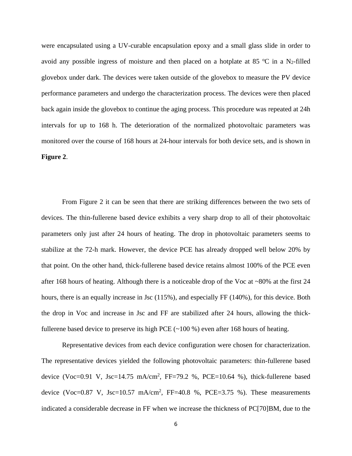were encapsulated using a UV-curable encapsulation epoxy and a small glass slide in order to avoid any possible ingress of moisture and then placed on a hotplate at 85  $^{\circ}$ C in a N<sub>2</sub>-filled glovebox under dark. The devices were taken outside of the glovebox to measure the PV device performance parameters and undergo the characterization process. The devices were then placed back again inside the glovebox to continue the aging process. This procedure was repeated at 24h intervals for up to 168 h. The deterioration of the normalized photovoltaic parameters was monitored over the course of 168 hours at 24-hour intervals for both device sets, and is shown in **Figure 2**.

From Figure 2 it can be seen that there are striking differences between the two sets of devices. The thin-fullerene based device exhibits a very sharp drop to all of their photovoltaic parameters only just after 24 hours of heating. The drop in photovoltaic parameters seems to stabilize at the 72-h mark. However, the device PCE has already dropped well below 20% by that point. On the other hand, thick-fullerene based device retains almost 100% of the PCE even after 168 hours of heating. Although there is a noticeable drop of the Voc at ~80% at the first 24 hours, there is an equally increase in Jsc (115%), and especially FF (140%), for this device. Both the drop in Voc and increase in Jsc and FF are stabilized after 24 hours, allowing the thickfullerene based device to preserve its high PCE (~100 %) even after 168 hours of heating.

Representative devices from each device configuration were chosen for characterization. The representative devices yielded the following photovoltaic parameters: thin-fullerene based device (Voc=0.91 V, Jsc=14.75 mA/cm<sup>2</sup>, FF=79.2 %, PCE=10.64 %), thick-fullerene based device (Voc=0.87 V, Jsc=10.57 mA/cm<sup>2</sup>, FF=40.8 %, PCE=3.75 %). These measurements indicated a considerable decrease in FF when we increase the thickness of PC[70]BM, due to the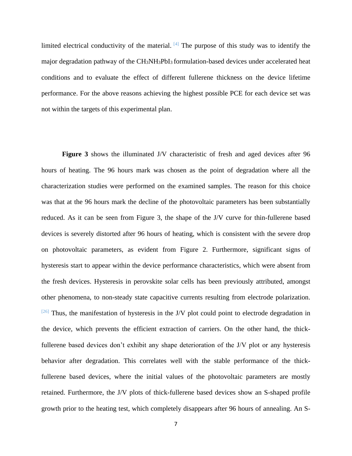limited electrical conductivity of the material.  $[4]$  The purpose of this study was to identify the major degradation pathway of the CH3NH3PbI3 formulation-based devices under accelerated heat conditions and to evaluate the effect of different fullerene thickness on the device lifetime performance. For the above reasons achieving the highest possible PCE for each device set was not within the targets of this experimental plan.

**Figure 3** shows the illuminated J/V characteristic of fresh and aged devices after 96 hours of heating. The 96 hours mark was chosen as the point of degradation where all the characterization studies were performed on the examined samples. The reason for this choice was that at the 96 hours mark the decline of the photovoltaic parameters has been substantially reduced. As it can be seen from Figure 3, the shape of the J/V curve for thin-fullerene based devices is severely distorted after 96 hours of heating, which is consistent with the severe drop on photovoltaic parameters, as evident from Figure 2. Furthermore, significant signs of hysteresis start to appear within the device performance characteristics, which were absent from the fresh devices. Hysteresis in perovskite solar cells has been previously attributed, amongst other phenomena, to non-steady state capacitive currents resulting from electrode polarization.  $[26]$  Thus, the manifestation of hysteresis in the J/V plot could point to electrode degradation in the device, which prevents the efficient extraction of carriers. On the other hand, the thickfullerene based devices don't exhibit any shape deterioration of the J/V plot or any hysteresis behavior after degradation. This correlates well with the stable performance of the thickfullerene based devices, where the initial values of the photovoltaic parameters are mostly retained. Furthermore, the J/V plots of thick-fullerene based devices show an S-shaped profile growth prior to the heating test, which completely disappears after 96 hours of annealing. An S-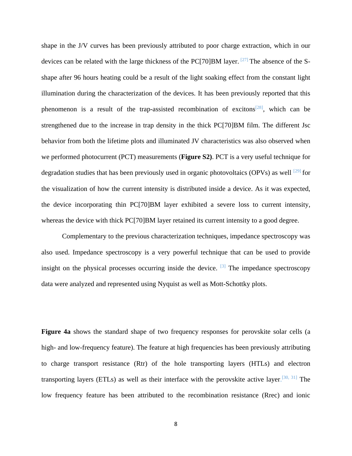shape in the J/V curves has been previously attributed to poor charge extraction, which in our devices can be related with the large thickness of the PC[70]BM layer.  $[27]$  The absence of the Sshape after 96 hours heating could be a result of the light soaking effect from the constant light illumination during the characterization of the devices. It has been previously reported that this phenomenon is a result of the trap-assisted recombination of excitons<sup>[28]</sup>, which can be strengthened due to the increase in trap density in the thick PC[70]BM film. The different Jsc behavior from both the lifetime plots and illuminated JV characteristics was also observed when we performed photocurrent (PCT) measurements (**Figure S2)**. PCT is a very useful technique for degradation studies that has been previously used in organic photovoltaics (OPVs) as well  $^{[29]}$  for the visualization of how the current intensity is distributed inside a device. As it was expected, the device incorporating thin PC[70]BM layer exhibited a severe loss to current intensity, whereas the device with thick PC[70]BM layer retained its current intensity to a good degree.

Complementary to the previous characterization techniques, impedance spectroscopy was also used. Impedance spectroscopy is a very powerful technique that can be used to provide insight on the physical processes occurring inside the device.  $[3]$  The impedance spectroscopy data were analyzed and represented using Nyquist as well as Mott-Schottky plots.

**Figure 4a** shows the standard shape of two frequency responses for perovskite solar cells (a high- and low-frequency feature). The feature at high frequencies has been previously attributing to charge transport resistance (Rtr) of the hole transporting layers (HTLs) and electron transporting layers (ETLs) as well as their interface with the perovskite active layer.<sup>[30, 31]</sup> The low frequency feature has been attributed to the recombination resistance (Rrec) and ionic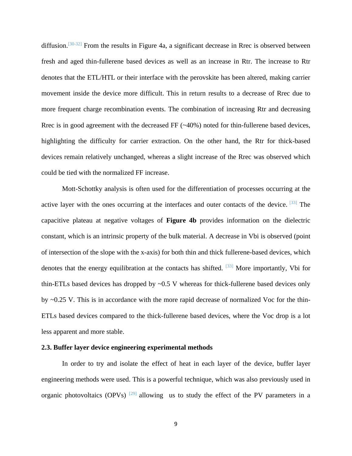diffusion.<sup>[30-32]</sup> From the results in Figure 4a, a significant decrease in Rrec is observed between fresh and aged thin-fullerene based devices as well as an increase in Rtr. The increase to Rtr denotes that the ETL/HTL or their interface with the perovskite has been altered, making carrier movement inside the device more difficult. This in return results to a decrease of Rrec due to more frequent charge recombination events. The combination of increasing Rtr and decreasing Rrec is in good agreement with the decreased FF  $(\sim 40\%)$  noted for thin-fullerene based devices, highlighting the difficulty for carrier extraction. On the other hand, the Rtr for thick-based devices remain relatively unchanged, whereas a slight increase of the Rrec was observed which could be tied with the normalized FF increase.

Mott-Schottky analysis is often used for the differentiation of processes occurring at the active layer with the ones occurring at the interfaces and outer contacts of the device. [33] The capacitive plateau at negative voltages of **Figure 4b** provides information on the dielectric constant, which is an intrinsic property of the bulk material. A decrease in Vbi is observed (point of intersection of the slope with the x-axis) for both thin and thick fullerene-based devices, which denotes that the energy equilibration at the contacts has shifted.  $[33]$  More importantly, Vbi for thin-ETLs based devices has dropped by  $\sim 0.5$  V whereas for thick-fullerene based devices only by ~0.25 V. This is in accordance with the more rapid decrease of normalized Voc for the thin-ETLs based devices compared to the thick-fullerene based devices, where the Voc drop is a lot less apparent and more stable.

#### **2.3. Buffer layer device engineering experimental methods**

In order to try and isolate the effect of heat in each layer of the device, buffer layer engineering methods were used. This is a powerful technique, which was also previously used in organic photovoltaics (OPVs)  $[29]$  allowing us to study the effect of the PV parameters in a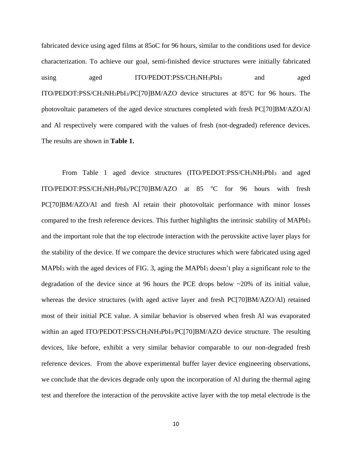fabricated device using aged films at 85oC for 96 hours, similar to the conditions used for device characterization. To achieve our goal, semi-finished device structures were initially fabricated using aged ITO/PEDOT:PSS/CH<sub>3</sub>NH<sub>3</sub>PbI<sub>3</sub> and aged ITO/PEDOT:PSS/CH<sub>3</sub>NH<sub>3</sub>PbI<sub>3</sub>/PC[70]BM/AZO device structures at 85°C for 96 hours. The photovoltaic parameters of the aged device structures completed with fresh PC[70]BM/AZO/Al and Al respectively were compared with the values of fresh (not-degraded) reference devices. The results are shown in **Table 1.**

From Table 1 aged device structures (ITO/PEDOT:PSS/CH3NH3PbI<sup>3</sup> and aged ITO/PEDOT:PSS/CH<sub>3</sub>NH<sub>3</sub>PbI<sub>3</sub>/PC[70]BM/AZO at 85  $^{\circ}$ C for 96 hours with fresh PC[70]BM/AZO/Al and fresh Al retain their photovoltaic performance with minor losses compared to the fresh reference devices. This further highlights the intrinsic stability of MAPbI<sup>3</sup> and the important role that the top electrode interaction with the perovskite active layer plays for the stability of the device. If we compare the device structures which were fabricated using aged MAPbI<sup>3</sup> with the aged devices of FIG. 3, aging the MAPbI<sup>3</sup> doesn't play a significant role to the degradation of the device since at 96 hours the PCE drops below  $\sim$ 20% of its initial value, whereas the device structures (with aged active layer and fresh PC[70]BM/AZO/Al) retained most of their initial PCE value. A similar behavior is observed when fresh Al was evaporated within an aged ITO/PEDOT:PSS/CH3NH3PbI3/PC[70]BM/AZO device structure. The resulting devices, like before, exhibit a very similar behavior comparable to our non-degraded fresh reference devices. From the above experimental buffer layer device engineering observations, we conclude that the devices degrade only upon the incorporation of Al during the thermal aging test and therefore the interaction of the perovskite active layer with the top metal electrode is the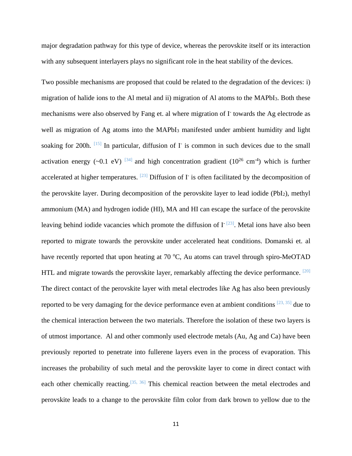major degradation pathway for this type of device, whereas the perovskite itself or its interaction with any subsequent interlayers plays no significant role in the heat stability of the devices.

Two possible mechanisms are proposed that could be related to the degradation of the devices: i) migration of halide ions to the Al metal and ii) migration of Al atoms to the MAPbI3. Both these mechanisms were also observed by Fang et. al where migration of I towards the Ag electrode as well as migration of Ag atoms into the MAPbI<sub>3</sub> manifested under ambient humidity and light soaking for 200h.  $[15]$  In particular, diffusion of I is common in such devices due to the small activation energy (~0.1 eV) <sup>[34]</sup> and high concentration gradient ( $10^{26}$  cm<sup>-4</sup>) which is further accelerated at higher temperatures.  $[23]$  Diffusion of I<sup>-</sup> is often facilitated by the decomposition of the perovskite layer. During decomposition of the perovskite layer to lead iodide (PbI2), methyl ammonium (MA) and hydrogen iodide (HI), MA and HI can escape the surface of the perovskite leaving behind iodide vacancies which promote the diffusion of  $I<sup>-</sup>[23]$ . Metal ions have also been reported to migrate towards the perovskite under accelerated heat conditions. Domanski et. al have recently reported that upon heating at 70  $^{\circ}C$ , Au atoms can travel through spiro-MeOTAD HTL and migrate towards the perovskite layer, remarkably affecting the device performance. <sup>[20]</sup> The direct contact of the perovskite layer with metal electrodes like Ag has also been previously reported to be very damaging for the device performance even at ambient conditions  $[23, 35]$  due to the chemical interaction between the two materials. Therefore the isolation of these two layers is of utmost importance. Al and other commonly used electrode metals (Au, Ag and Ca) have been previously reported to penetrate into fullerene layers even in the process of evaporation. This increases the probability of such metal and the perovskite layer to come in direct contact with each other chemically reacting.<sup>[35, 36]</sup> This chemical reaction between the metal electrodes and perovskite leads to a change to the perovskite film color from dark brown to yellow due to the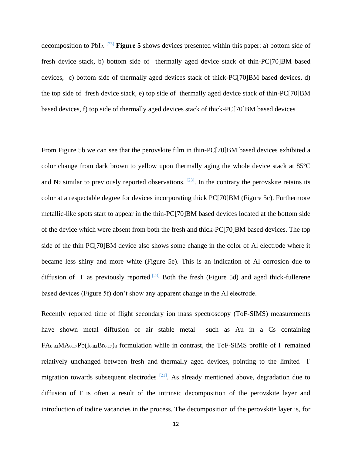decomposition to PbI2. [23] **Figure 5** shows devices presented within this paper: a) bottom side of fresh device stack, b) bottom side of thermally aged device stack of thin-PC[70]BM based devices, c) bottom side of thermally aged devices stack of thick-PC[70]BM based devices, d) the top side of fresh device stack, e) top side of thermally aged device stack of thin-PC[70]BM based devices, f) top side of thermally aged devices stack of thick-PC[70]BM based devices .

From Figure 5b we can see that the perovskite film in thin-PC[70]BM based devices exhibited a color change from dark brown to yellow upon thermally aging the whole device stack at  $85^{\circ}$ C and  $N_2$  similar to previously reported observations. <sup>[23]</sup>. In the contrary the perovskite retains its color at a respectable degree for devices incorporating thick PC[70]BM (Figure 5c). Furthermore metallic-like spots start to appear in the thin-PC[70]BM based devices located at the bottom side of the device which were absent from both the fresh and thick-PC[70]BM based devices. The top side of the thin PC[70]BM device also shows some change in the color of Al electrode where it became less shiny and more white (Figure 5e). This is an indication of Al corrosion due to diffusion of I<sup>-</sup> as previously reported.<sup>[23]</sup> Both the fresh (Figure 5d) and aged thick-fullerene based devices (Figure 5f) don't show any apparent change in the Al electrode.

Recently reported time of flight secondary ion mass spectroscopy (ToF-SIMS) measurements have shown metal diffusion of air stable metal such as Au in a Cs containing FA<sub>0.83</sub>MA<sub>0.17</sub>Pb(I<sub>0.83</sub>Br<sub>0.17</sub>)<sub>3</sub> formulation while in contrast, the ToF-SIMS profile of I<sup>-</sup> remained relatively unchanged between fresh and thermally aged devices, pointing to the limited I<sup>-</sup> migration towards subsequent electrodes  $[21]$ . As already mentioned above, degradation due to diffusion of I is often a result of the intrinsic decomposition of the perovskite layer and introduction of iodine vacancies in the process. The decomposition of the perovskite layer is, for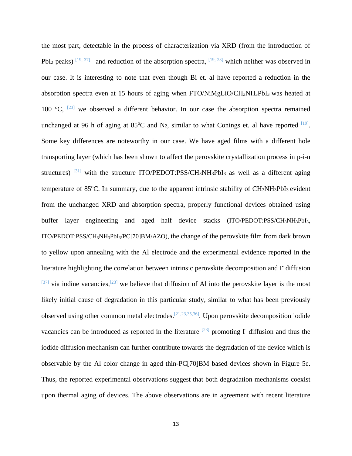the most part, detectable in the process of characterization via XRD (from the introduction of PbI<sub>2</sub> peaks)  $[19, 37]$  and reduction of the absorption spectra,  $[19, 23]$  which neither was observed in our case. It is interesting to note that even though Bi et. al have reported a reduction in the absorption spectra even at 15 hours of aging when FTO/NiMgLiO/CH3NH3PbI3 was heated at 100  $^{\circ}$ C,  $^{[23]}$  we observed a different behavior. In our case the absorption spectra remained unchanged at 96 h of aging at 85 $^{\circ}$ C and N<sub>2</sub>, similar to what Conings et. al have reported  $^{[19]}$ . Some key differences are noteworthy in our case. We have aged films with a different hole transporting layer (which has been shown to affect the perovskite crystallization process in p-i-n structures) <sup>[31]</sup> with the structure ITO/PEDOT:PSS/CH<sub>3</sub>NH<sub>3</sub>PbI<sub>3</sub> as well as a different aging temperature of 85 $^{\circ}$ C. In summary, due to the apparent intrinsic stability of CH<sub>3</sub>NH<sub>3</sub>PbI<sub>3</sub> evident from the unchanged XRD and absorption spectra, properly functional devices obtained using buffer layer engineering and aged half device stacks (ITO/PEDOT:PSS/CH3NH3PbI3, ITO/PEDOT:PSS/CH3NH3PbI3/PC[70]BM/AZO), the change of the perovskite film from dark brown to yellow upon annealing with the Al electrode and the experimental evidence reported in the literature highlighting the correlation between intrinsic perovskite decomposition and I- diffusion <sup>[37]</sup> via iodine vacancies,<sup>[23]</sup> we believe that diffusion of Al into the perovskite layer is the most likely initial cause of degradation in this particular study, similar to what has been previously observed using other common metal electrodes.<sup>[21,23,35,36]</sup>. Upon perovskite decomposition iodide vacancies can be introduced as reported in the literature  $[23]$  promoting I- diffusion and thus the iodide diffusion mechanism can further contribute towards the degradation of the device which is observable by the Al color change in aged thin-PC[70]BM based devices shown in Figure 5e. Thus, the reported experimental observations suggest that both degradation mechanisms coexist upon thermal aging of devices. The above observations are in agreement with recent literature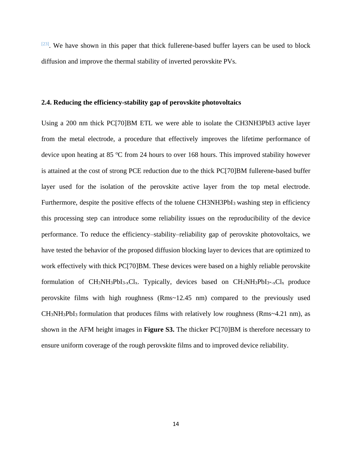$[23]$ . We have shown in this paper that thick fullerene-based buffer layers can be used to block diffusion and improve the thermal stability of inverted perovskite PVs.

#### **2.4. Reducing the efficiency-stability gap of perovskite photovoltaics**

Using a 200 nm thick PC[70]BM ETL we were able to isolate the CH3NH3PbI3 active layer from the metal electrode, a procedure that effectively improves the lifetime performance of device upon heating at 85  $\degree$ C from 24 hours to over 168 hours. This improved stability however is attained at the cost of strong PCE reduction due to the thick PC[70]BM fullerene-based buffer layer used for the isolation of the perovskite active layer from the top metal electrode. Furthermore, despite the positive effects of the toluene CH3NH3PbI<sub>3</sub> washing step in efficiency this processing step can introduce some reliability issues on the reproducibility of the device performance. To reduce the efficiency–stability–reliability gap of perovskite photovoltaics, we have tested the behavior of the proposed diffusion blocking layer to devices that are optimized to work effectively with thick PC[70]BM. These devices were based on a highly reliable perovskite formulation of  $CH_3NH_3PbI_{3-x}Cl_x$ . Typically, devices based on  $CH_3NH_3PbI_{3-x}Cl_x$  produce perovskite films with high roughness (Rms~12.45 nm) compared to the previously used  $CH<sub>3</sub>NH<sub>3</sub>PbI<sub>3</sub>$  formulation that produces films with relatively low roughness (Rms~4.21 nm), as shown in the AFM height images in **Figure S3.** The thicker PC[70]BM is therefore necessary to ensure uniform coverage of the rough perovskite films and to improved device reliability.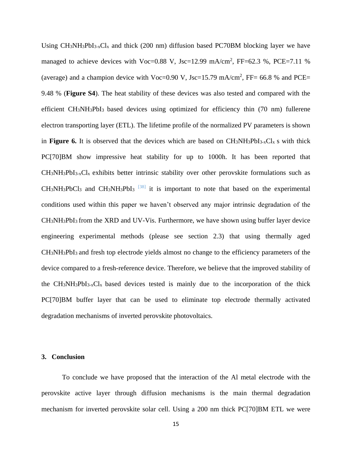Using  $CH_3NH_3PbI_3$ - $Cl_x$  and thick (200 nm) diffusion based PC70BM blocking layer we have managed to achieve devices with Voc=0.88 V, Jsc=12.99 mA/cm<sup>2</sup>, FF=62.3 %, PCE=7.11 % (average) and a champion device with Voc=0.90 V, Jsc=15.79 mA/cm<sup>2</sup>, FF= 66.8 % and PCE= 9.48 % (**Figure S4**). The heat stability of these devices was also tested and compared with the efficient CH3NH3PbI3 based devices using optimized for efficiency thin (70 nm) fullerene electron transporting layer (ETL). The lifetime profile of the normalized PV parameters is shown in **Figure 6.** It is observed that the devices which are based on  $CH_3NH_3PbI_3$ - $xCl_x$  s with thick PC[70]BM show impressive heat stability for up to 1000h. It has been reported that  $CH_3NH_3PbI_{3-x}Cl_x$  exhibits better intrinsic stability over other perovskite formulations such as  $CH_3NH_3PbCl_3$  and  $CH_3NH_3PbI_3$   $[38]$  it is important to note that based on the experimental conditions used within this paper we haven't observed any major intrinsic degradation of the CH3NH3PbI3 from the XRD and UV-Vis. Furthermore, we have shown using buffer layer device engineering experimental methods (please see section 2.3) that using thermally aged CH3NH3PbI3 and fresh top electrode yields almost no change to the efficiency parameters of the device compared to a fresh-reference device. Therefore, we believe that the improved stability of the CH3NH3PbI3-xClx based devices tested is mainly due to the incorporation of the thick PC[70]BM buffer layer that can be used to eliminate top electrode thermally activated degradation mechanisms of inverted perovskite photovoltaics.

#### **3. Conclusion**

To conclude we have proposed that the interaction of the Al metal electrode with the perovskite active layer through diffusion mechanisms is the main thermal degradation mechanism for inverted perovskite solar cell. Using a 200 nm thick PC[70]BM ETL we were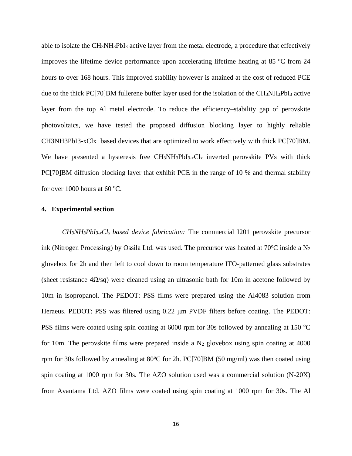able to isolate the CH3NH3PbI<sup>3</sup> active layer from the metal electrode, a procedure that effectively improves the lifetime device performance upon accelerating lifetime heating at 85  $\degree$ C from 24 hours to over 168 hours. This improved stability however is attained at the cost of reduced PCE due to the thick PC[70]BM fullerene buffer layer used for the isolation of the CH3NH3PbI<sup>3</sup> active layer from the top Al metal electrode. To reduce the efficiency–stability gap of perovskite photovoltaics, we have tested the proposed diffusion blocking layer to highly reliable CH3NH3PbI3-xClx based devices that are optimized to work effectively with thick PC[70]BM. We have presented a hysteresis free  $CH_3NH_3PbI_3$ - $xCl_x$  inverted perovskite PVs with thick PC[70]BM diffusion blocking layer that exhibit PCE in the range of 10 % and thermal stability for over 1000 hours at 60  $\degree$ C.

#### **4. Experimental section**

*CH3NH3PbI3-xClx based device fabrication:* The commercial I201 perovskite precursor ink (Nitrogen Processing) by Ossila Ltd. was used. The precursor was heated at  $70^{\circ}$ C inside a N<sub>2</sub> glovebox for 2h and then left to cool down to room temperature ITO-patterned glass substrates (sheet resistance  $4\Omega$ /sq) were cleaned using an ultrasonic bath for 10m in acetone followed by 10m in isopropanol. The PEDOT: PSS films were prepared using the Al4083 solution from Heraeus. PEDOT: PSS was filtered using 0.22 μm PVDF filters before coating. The PEDOT: PSS films were coated using spin coating at  $6000$  rpm for 30s followed by annealing at 150  $^{\circ}$ C for 10m. The perovskite films were prepared inside a  $N_2$  glovebox using spin coating at 4000 rpm for 30s followed by annealing at 80 $^{\circ}$ C for 2h. PC[70]BM (50 mg/ml) was then coated using spin coating at 1000 rpm for 30s. The AZO solution used was a commercial solution (N-20X) from Avantama Ltd. AZO films were coated using spin coating at 1000 rpm for 30s. The Al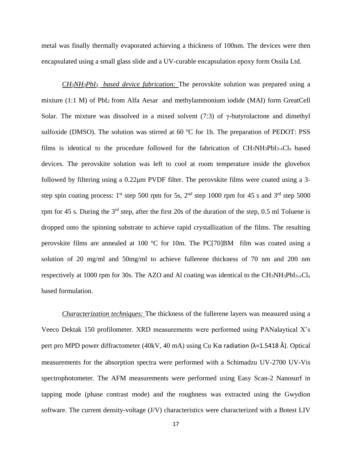metal was finally thermally evaporated achieving a thickness of 100nm. The devices were then encapsulated using a small glass slide and a UV-curable encapsulation epoxy form Ossila Ltd.

*CH3NH3PbI3 based device fabrication:* The perovskite solution was prepared using a mixture (1:1 M) of PbI<sup>2</sup> from Alfa Aesar and methylammonium iodide (MAI) form GreatCell Solar. The mixture was dissolved in a mixed solvent (7:3) of  $\gamma$ -butyrolactone and dimethyl sulfoxide (DMSO). The solution was stirred at  $60\text{ °C}$  for 1h. The preparation of PEDOT: PSS films is identical to the procedure followed for the fabrication of CH3NH3PbI3-xClx based devices. The perovskite solution was left to cool at room temperature inside the glovebox followed by filtering using a 0.22μm PVDF filter. The perovskite films were coated using a 3 step spin coating process:  $1<sup>st</sup>$  step 500 rpm for 5s,  $2<sup>nd</sup>$  step 1000 rpm for 45 s and  $3<sup>rd</sup>$  step 5000 rpm for 45 s. During the  $3<sup>rd</sup>$  step, after the first 20s of the duration of the step, 0.5 ml Toluene is dropped onto the spinning substrate to achieve rapid crystallization of the films. The resulting perovskite films are annealed at 100  $\degree$ C for 10m. The PC[70]BM film was coated using a solution of 20 mg/ml and 50mg/ml to achieve fullerene thickness of 70 nm and 200 nm respectively at 1000 rpm for 30s. The AZO and Al coating was identical to the  $CH_3NH_3PbI_{3-x}Cl_x$ based formulation.

*Characterization techniques:* The thickness of the fullerene layers was measured using a Veeco Dektak 150 profilometer. XRD measurements were performed using PANalaytical X's pert pro MPD power diffractometer (40kV, 40 mA) using Cu Kα radiation (λ=1.5418 Å). Optical measurements for the absorption spectra were performed with a Schimadzu UV-2700 UV-Vis spectrophotometer. The AFM measurements were performed using Easy Scan-2 Nanosurf in tapping mode (phase contrast mode) and the roughness was extracted using the Gwydion software. The current density-voltage (J/V) characteristics were characterized with a Botest LIV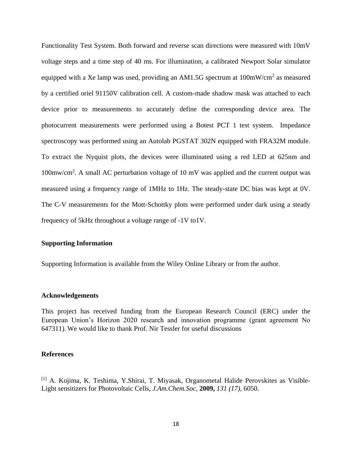Functionality Test System. Both forward and reverse scan directions were measured with 10mV voltage steps and a time step of 40 ms. For illumination, a calibrated Newport Solar simulator equipped with a Xe lamp was used, providing an AM1.5G spectrum at  $100 \text{mW/cm}^2$  as measured by a certified oriel 91150V calibration cell. A custom-made shadow mask was attached to each device prior to measurements to accurately define the corresponding device area. The photocurrent measurements were performed using a Botest PCT 1 test system. Impedance spectroscopy was performed using an Autolab PGSTAT 302N equipped with FRA32M module. To extract the Nyquist plots, the devices were illuminated using a red LED at 625nm and 100mw/cm<sup>2</sup> . A small AC perturbation voltage of 10 mV was applied and the current output was measured using a frequency range of 1MHz to 1Hz. The steady-state DC bias was kept at 0V. The C-V measurements for the Mott-Schottky plots were performed under dark using a steady frequency of 5kHz throughout a voltage range of -1V to1V.

#### **Supporting Information**

Supporting Information is available from the Wiley Online Library or from the author.

#### **Acknowledgements**

This project has received funding from the European Research Council (ERC) under the European Union's Horizon 2020 research and innovation programme (grant agreement No 647311). We would like to thank Prof. Nir Tessler for useful discussions

#### **References**

[1] A. Kojima, K. Teshima, Y.Shirai, T. Miyasak, Organometal Halide Perovskites as Visible-Light sensitizers for Photovoltaic Cells, *J.Am.Chem.Soc,* **2009,** *131 (17),* 6050.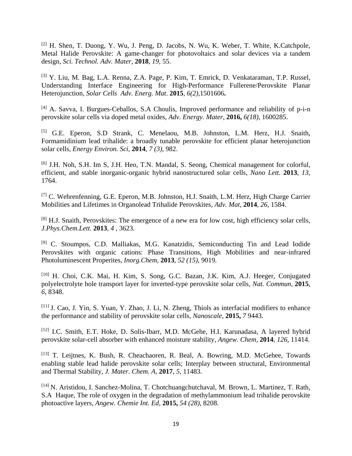[2] H. Shen, T. Duong, Y. Wu, J. Peng, D. Jacobs, N. Wu, K. Weber, T. White, K.Catchpole, Metal Halide Perovskite: A game-changer for photovoltaics and solar devices via a tandem design, *Sci. Technol. Adv. Mater,* **2018**, *19*, 55.

[3] Y. Liu, M. Bag, L.A. Renna, Z.A. Page, P. Kim, T. Emrick, D. Venkataraman, T.P. Russel, Understanding Interface Engineering for High-Performance Fullerene/Perovskite Planar Heterojunction*, Solar Cells Adv. Energ. Mat*. **2015***, 6(2),*1501606**.**

[4] A. Savva, I. Burgues-Ceballos, S.A Choulis, Improved performance and reliability of p-i-n perovskite solar cells via doped metal oxides*, Adv. Energy. Mater*, **2016,** *6(18)*, 1600285.

[5] G.E. Eperon, S.D Strank, C. Menelaou, M.B. Johnston, L.M. Herz, H.J. Snaith, Formamidinium lead trihalide: a broadly tunable perovskite for efficient planar heterojunction solar cells*, Energy Environ. Sci,* **2014**, *7 (3),* 982.

[6] J.H. Noh, S.H. Im S, J.H. Heo, T.N. Mandal, S. Seong, Chemical management for colorful, efficient, and stable inorganic-organic hybrid nanostructured solar cells, *Nano Lett.* **2013***, 13,*  1764.

[7] C. Wehrenfenning, G.E. Eperon, M.B. Johnston, H.J. Snaith, L.M. Herz, High Charge Carrier Mobilities and Lifetimes in Organolead Trihalide Perovskites, *Adv. Mat,* **2014**, *26,* 1584.

 $^{[8]}$  H.J. Snaith, Perovskites: The emergence of a new era for low cost, high efficiency solar cells, *J.Phys.Chem.Lett.* **2013***, 4 ,* 3623*.*

[9] C. Stoumpos, C.D. Malliakas, M.G. Kanatzidis, Semiconducting Tin and Lead Iodide Perovskites with organic cations: Phase Transitions, High Mobilities and near-infrared Photoluminescent Properites, *Inorg.Chem,* **2013**, *52 (15),* 9019.

[10] H. Choi, C.K. Mai, H. Kim, S. Song, G.C. Bazan, J.K. Kim, A.J. Heeger*,* Conjugated polyelectrolyte hole transport layer for inverted-type perovskite solar cells*, Nat. Commun,* **2015**, *6,* 8348.

[11] J. Cao, J. Yin, S. Yuan, Y. Zhao, J. Li, N. Zheng, Thiols as interfacial modifiers to enhance the performance and stability of perovskite solar cells*, Nanoscale,* **2015,** *7* 9443*.*

[12] I.C. Smith, E.T. Hoke, D. Solis-Ibarr, M.D. McGehe, H.I. Karunadasa, A layered hybrid perovskite solar-cell absorber with enhanced moisture stability*, Angew. Chem,* **2014**, *126,* 11414.

[13] T. Leijtnes, K. Bush, R. Cheachaoren, R. Beal, A. Bowring, M.D. McGehee*,* Towards enabling stable lead halide perovskite solar cells; Interplay between structural, Environmental and Thermal Stability*, J. Mater. Chem. A,* **2017**, *5,* 11483.

[14] N. Aristidou, I. Sanchez-Molina, T. Chotchuangchutchaval, M. Brown, L. Martinez, T. Rath, S.A Haque, The role of oxygen in the degradation of methylammonium lead trihalide perovskite photoactive layers, *Angew. Chemie Int. Ed,* **2015,** *54 (28),* 8208.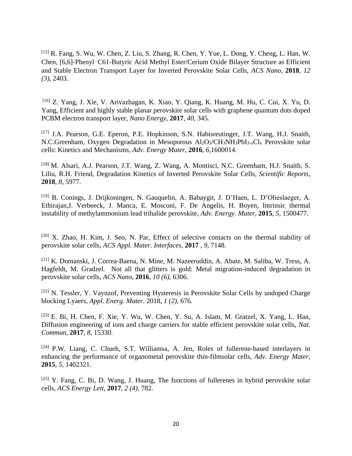[15] R. Fang, S. Wu, W. Chen, Z. Liu, S. Zhang, R. Chen, Y. Yue, L. Dong, Y. Cheng, L. Han, W. Chen, [6,6]-Phenyl‑C61-Butyric Acid Methyl Ester/Cerium Oxide Bilayer Structure as Efficient and Stable Electron Transport Layer for Inverted Perovskite Solar Cells, *ACS Nano,* **2018**, *12 (3)*, 2403.

[16] Z. Yang, J. Xie, V. Arivazhagan, K. Xiao, Y. Qiang, K. Huang, M. Hu, C. Cui, X. Yu, D. Yang, Efficient and highly stable planar perovskite solar cells with graphene quantum dots doped PCBM electron transport layer, *Nano Energy,* **2017**, *40,* 345*.*

[17] J.A. Pearson, G.E. Eperon, P.E. Hopkinson, S.N. Habisreutinger, J.T. Wang, H.J. Snaith, N.C.Greenham, Oxygen Degradation in Mesoporous Al2O3/CH3NH3PbI3-xCl<sup>x</sup> Perovskite solar cells: Kinetics and Mechanisms, *Adv. Energy Mater,* **2016***, 6,*1600014.

[18] M. Alsari, A.J. Pearson, J.T. Wang, Z. Wang, A. Montisci, N.C. Greenham, H.J. Snaith, S. Liliu, R.H. Friend, Degradation Kinetics of Inverted Perovskite Solar Cells*, Scientific Reports,*  **2018**, *8*, 5977.

[19] B. Conings, J. Drijkoningen, N. Gauquelin, A. Babaygit, J. D'Haen, L. D'Olieslaeger, A. Ethirajan,J. Verbeeck, J. Manca, E. Mosconi, F. De Angelis, H. Boyen, Intrinsic thermal instability of methylammonium lead trihalide perovskite, *Adv. Energy. Mater,* **2015**, *5*, 1500477.

[20] X. Zhao, H. Kim, J. Seo, N. Par, Effect of selective contacts on the thermal stability of perovskite solar cells, *ACS Appl. Mater. Interfaces,* **2017** , *9*, 7148.

[21] K. Domanski, J. Correa-Baena, N. Mine, M. Nazeeruddin, A. Abate, M. Saliba, W. Tress, A. Hagfeldt, M. Gradzel. Not all that glitters is gold: Metal migration-induced degradation in perovskite solar cells, *ACS Nano,* **2016**, *10 (6),* 6306.

[22] N. Tessler, Y. Vaynzof, Preventing Hysteresis in Perovskite Solar Cells by undoped Charge blocking Lyaers*, Appl. Energ. Mater.* 2018, *1 (2),* 676.

[23] E. Bi, H. Chen, F. Xie, Y. Wu, W. Chen, Y. Su, A. Islam, M. Gratzel, X. Yang, L. Han, Diffusion engineering of ions and charge carriers for stable efficient perovskite solar cells, *Nat. Commun,* **2017**, *8,* 15330.

[24] P.W. Liang, C. Chueh, S.T. Williamsa, A. Jen, Roles of fullerene-based interlayers in enhancing the performance of organometal perovskite thin-filmsolar cells*, Adv. Energy Mater,* **2015**, *5,* 1402321.

 $[25]$  Y. Fang, C. Bi, D. Wang, J. Huang, The functions of fullerenes in hybrid perovskite solar cells, *ACS Energy Lett,* **2017**, *2 (4),* 782.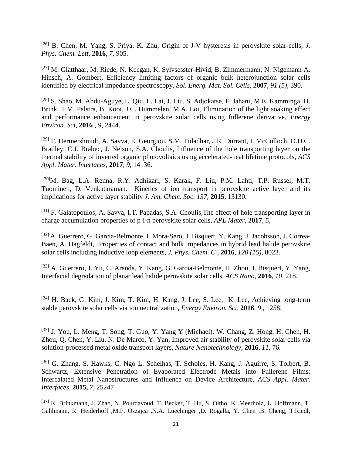[26] B. Chen, M. Yang, S. Priya, K. Zhu, Origin of J-V hysteresis in perovskite solar-cells, *J. Phys. Chem. Lett,* **2016**, *7,* 905.

[27] M. Glatthaar, M. Riede, N. Keegan, K. Sylvsesster-Hivid, B. Zimmermann, N. Nigemann A. Hinsch, A. Gombert, Efficiency limiting factors of organic bulk heterojunction solar cells identified by electrical impedance spectroscopy, *Sol. Energ. Mat. Sol. Cells,* **2007**, *91 (5),* 390.

[28] S. Shao, M. Abdu-Aguye, L. Qiu, L. Lai, J. Liu, S. Adjokatse, F. Jahani, M.E. Kamminga, H. Brink, T.M. Palstra, B. Kooi, J.C. Hummelen, M.A. Loi, Elimination of the light soaking effect and performance enhancement in perovskite solar cells using fullerene derivative, *Energy Environ. Sci,* **2016** *, 9,* 2444.

[29] F. Hermershmidt, A. Savva, E. Georgiou, S.M. Tuladhar, J.R. Durrant, I. McCulloch, D.D.C. Bradley, C.J. Brabec, J. Nelson, S.A. Choulis, Influence of the hole transporting layer on the thermal stability of inverted organic photovoltaics using accelerated-heat lifetime protocols*, ACS Appl. Mater. Interfaces,* **2017**, *9,* 14136.

[30]M. Bag, L.A. Renna, R.Y. Adhikari, S. Karak, F. Liu, P.M. Lahti, T.P. Russel, M.T. Tuominen, D. Venkataraman. Kinetics of ion transport in perovskite active layer and its implications for active layer stability *J. Am. Chem. Soc. 137,* **2015**, 13130.

[31] F. Galatopoulos, A. Savva, I.T. Papadas, S.A. Choulis,The effect of hole transporting layer in charge accumulation properties of p-i-n perovskite solar cells*, APL Mater,* **2017**, *5,*

[32] A. Guerrero, G. Garcia-Belmonte, I. Mora-Sero, J. Bisquert, Y. Kang, J. Jacobsson, J. Correa-Baen, A. Hagfeldt, Properties of contact and bulk impedances in hybrid lead halide perovskite solar cells including inductive loop elements*, J. Phys. Chem. C ,* **2016**, *120 (15)*, 8023.

[33] A. Guerrero, J. Yu, C. Aranda, Y. Kang, G. Garcia-Belmonte, H. Zhou, J. Bisquert, Y. Yang, Interfacial degradation of planar lead halide perovskite solar cells*, ACS Nano,* **2016**, *10,* 218.

[34] H. Back, G. Kim, J. Kim, T. Kim, H. Kang, J. Lee, S. Lee, K. Lee, Achieving long-term stable perovskite solar cells via ion neutralization, *Energy Environ. Sci,* **2016**, *9 ,* 1258.

[35] J. You, L. Meng, T. Song, T. Guo, Y. Yang Y (Michael), W. Chang, Z. Hong, H. Chen, H. Zhou, Q. Chen, Y. Liu, N. De Marco, Y. Yan, Improved air stability of perovskite solar cells via solution-processed metal oxide transport layers, *Nature Nanotechnology,* **2016**, *11,* 76.

[36] G. Zhang, S. Hawks, C. Ngo L. Schelhas, T. Scholes, H. Kang, J. Aguirre, S. Tolbert, B. Schwartz, Extensive Penetration of Evaporated Electrode Metals into Fullerene Films: Intercalated Metal Nanostructures and Influence on Device Architecture, *ACS Appl. Mater. Interfaces,* **2015,** *7,* 25247

[37] K. Brinkmann, J. Zhao, N. Pourdavoud, T. Becker, T. Hu, S. Oltho, K. Meerholz, L. Hoffmann, T. Gahlmann, R. Heiderhoff ,M.F. Oszajca ,N.A. Luechinger ,D. Rogalla, Y. Chen ,B. Cheng, T.Riedl,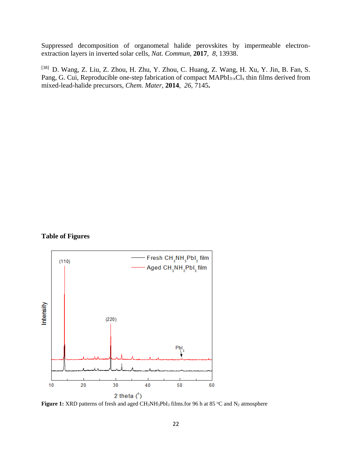Suppressed decomposition of organometal halide perovskites by impermeable electronextraction layers in inverted solar cells, *Nat. Commun,* **2017**, *8,* 13938.

[38] D. Wang, Z. Liu, Z. Zhou, H. Zhu, Y. Zhou, C. Huang, Z. Wang, H. Xu, Y. Jin, B. Fan, S. Pang, G. Cui, Reproducible one-step fabrication of compact MAPbI<sub>3-x</sub>Cl<sub>x</sub> thin films derived from mixed-lead-halide precursors*, Chem. Mater,* **2014**, *26,* 7145**.**

#### **Table of Figures**



**Figure 1:** XRD patterns of fresh and aged CH<sub>3</sub>NH<sub>3</sub>PbI<sub>3</sub> films.for 96 h at 85 °C and N<sub>2</sub> atmosphere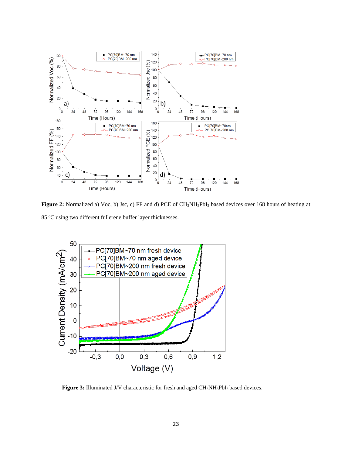

**Figure 2:** Normalized a) Voc, b) Jsc, c) FF and d) PCE of CH3NH3PbI<sup>3</sup> based devices over 168 hours of heating at 85 °C using two different fullerene buffer layer thicknesses.



Figure 3: Illuminated J/V characteristic for fresh and aged CH<sub>3</sub>NH<sub>3</sub>PbI<sub>3</sub> based devices.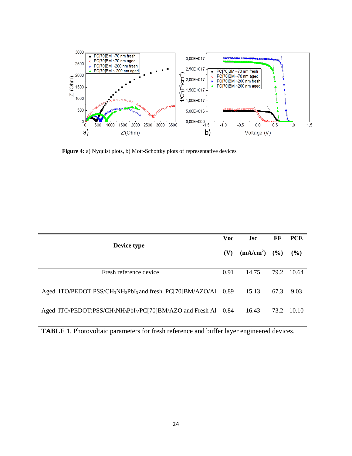

**Figure 4:** a) Nyquist plots, b) Mott-Schottky plots of representative devices

| Device type                                                                                           | <b>Voc</b> | <b>Jsc</b>     | FF   | <b>PCE</b> |
|-------------------------------------------------------------------------------------------------------|------------|----------------|------|------------|
|                                                                                                       | (V)        | $(mA/cm2)$ (%) |      | $($ %)     |
| Fresh reference device                                                                                | 0.91       | 14.75          | 79.2 | 10.64      |
| Aged ITO/PEDOT:PSS/CH <sub>3</sub> NH <sub>3</sub> PbI <sub>3</sub> and fresh PC[70]BM/AZO/Al $0.89$  |            | 15.13          | 67.3 | 9.03       |
| Aged ITO/PEDOT:PSS/CH <sub>3</sub> NH <sub>3</sub> PbI <sub>3</sub> /PC[70]BM/AZO and Fresh Al $0.84$ |            | 16.43          | 73.2 | 10.10      |

**TABLE 1**. Photovoltaic parameters for fresh reference and buffer layer engineered devices.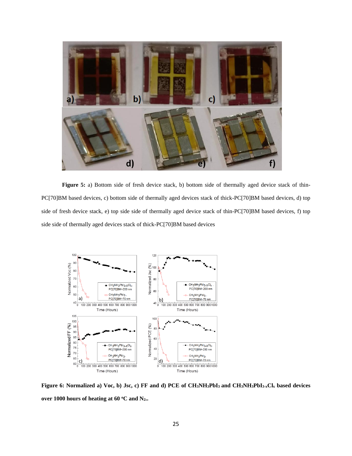

Figure 5: a) Bottom side of fresh device stack, b) bottom side of thermally aged device stack of thin-PC[70]BM based devices, c) bottom side of thermally aged devices stack of thick-PC[70]BM based devices, d) top side of fresh device stack, e) top side side of thermally aged device stack of thin-PC[70]BM based devices, f) top side side of thermally aged devices stack of thick-PC[70]BM based devices



**Figure 6: Normalized a) Voc, b) Jsc, c) FF and d) PCE of CH3NH3PbI<sup>3</sup> and CH3NH3PbI3-xCl<sup>x</sup> based devices over 1000 hours of heating at 60 <sup>o</sup>C and N2..**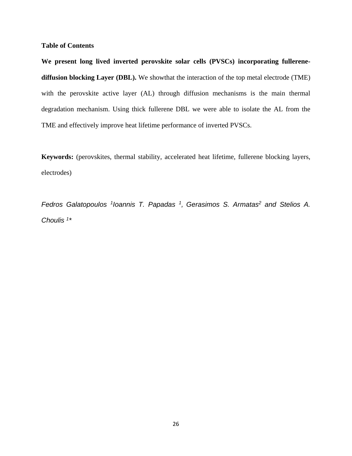#### **Table of Contents**

**We present long lived inverted perovskite solar cells (PVSCs) incorporating fullerenediffusion blocking Layer (DBL).** We showthat the interaction of the top metal electrode (TME) with the perovskite active layer (AL) through diffusion mechanisms is the main thermal degradation mechanism. Using thick fullerene DBL we were able to isolate the AL from the TME and effectively improve heat lifetime performance of inverted PVSCs.

**Keywords:** (perovskites, thermal stability, accelerated heat lifetime, fullerene blocking layers, electrodes)

*Fedros Galatopoulos <sup>1</sup> Ioannis T. Papadas <sup>1</sup> , Gerasimos S. Armatas<sup>2</sup> and Stelios A. Choulis <sup>1</sup> \**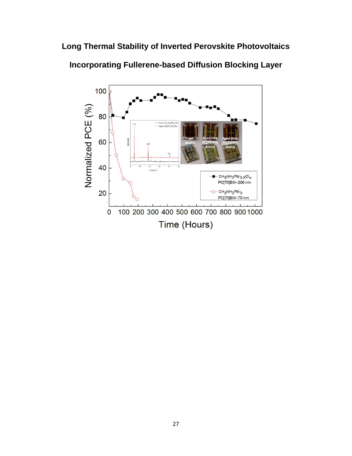**Long Thermal Stability of Inverted Perovskite Photovoltaics** 



**Incorporating Fullerene-based Diffusion Blocking Layer**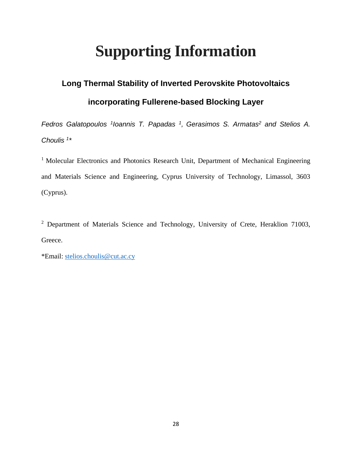# **Supporting Information**

## **Long Thermal Stability of Inverted Perovskite Photovoltaics incorporating Fullerene-based Blocking Layer**

*Fedros Galatopoulos <sup>1</sup> Ioannis T. Papadas <sup>1</sup> , Gerasimos S. Armatas<sup>2</sup> and Stelios A. Choulis <sup>1</sup> \**

<sup>1</sup> Molecular Electronics and Photonics Research Unit, Department of Mechanical Engineering and Materials Science and Engineering, Cyprus University of Technology, Limassol, 3603 (Cyprus).

<sup>2</sup> Department of Materials Science and Technology, University of Crete, Heraklion 71003, Greece.

\*Email: [stelios.choulis@cut.ac.cy](mailto:stelios.choulis@cut.ac.cy)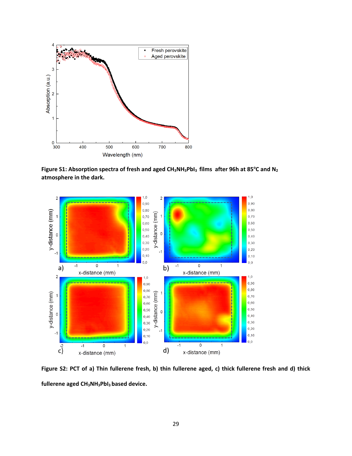

**Figure S1: Absorption spectra of fresh and aged CH3NH3PbI3 films after 96h at 85<sup>o</sup>C and N<sup>2</sup> atmosphere in the dark.**



**Figure S2: PCT of a) Thin fullerene fresh, b) thin fullerene aged, c) thick fullerene fresh and d) thick fullerene aged CH3NH3PbI3 based device.**